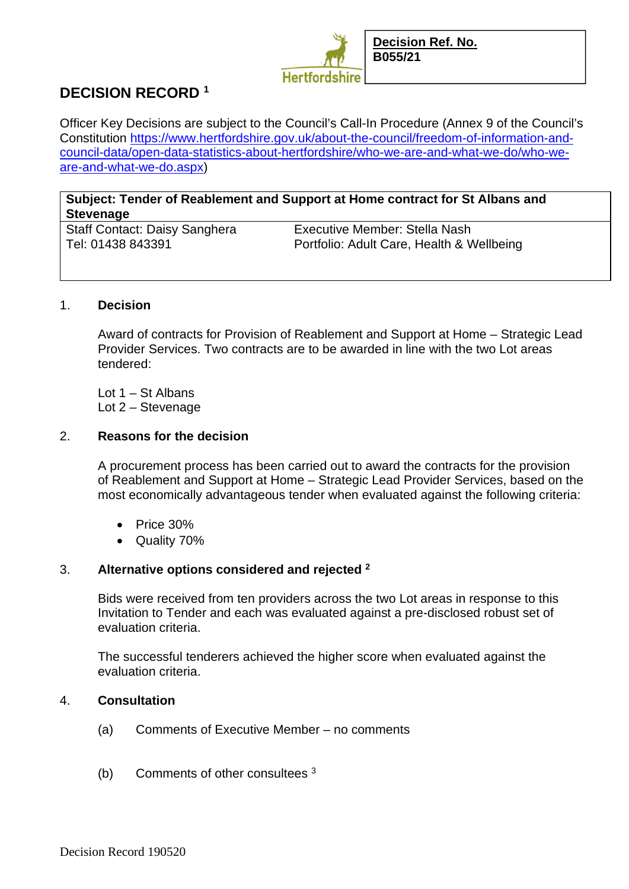

# **DECISION RECORD <sup>1</sup>**

Officer Key Decisions are subject to the Council's Call-In Procedure (Annex 9 of the Council's Constitution https://www.hertfordshire.gov.uk/about-the-council/freedom-of-information-andcouncil-data/open-data-statistics-about-hertfordshire/who-we-are-and-what-we-do/who-weare-and-what-we-do.aspx)

# **Subject: Tender of Reablement and Support at Home contract for St Albans and Stevenage**

Staff Contact: Daisy Sanghera Executive Member: Stella Nash

Tel: 01438 843391 Portfolio: Adult Care, Health & Wellbeing

# 1. **Decision**

Award of contracts for Provision of Reablement and Support at Home – Strategic Lead Provider Services. Two contracts are to be awarded in line with the two Lot areas tendered:

Lot  $1 - St$  Albans Lot 2 – Stevenage

#### 2. **Reasons for the decision**

A procurement process has been carried out to award the contracts for the provision of Reablement and Support at Home – Strategic Lead Provider Services, based on the most economically advantageous tender when evaluated against the following criteria:

- Price 30%
- Quality 70%

# 3. **Alternative options considered and rejected <sup>2</sup>**

Bids were received from ten providers across the two Lot areas in response to this Invitation to Tender and each was evaluated against a pre-disclosed robust set of evaluation criteria.

The successful tenderers achieved the higher score when evaluated against the evaluation criteria.

# 4. **Consultation**

- (a) Comments of Executive Member no comments
- (b) Comments of other consultees 3